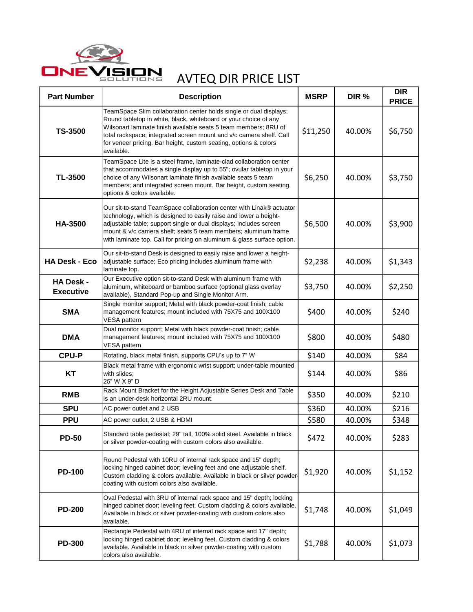

| <b>Part Number</b>                   | <b>Description</b>                                                                                                                                                                                                                                                                                                                                                  | <b>MSRP</b> | DIR %  | <b>DIR</b><br><b>PRICE</b> |
|--------------------------------------|---------------------------------------------------------------------------------------------------------------------------------------------------------------------------------------------------------------------------------------------------------------------------------------------------------------------------------------------------------------------|-------------|--------|----------------------------|
| <b>TS-3500</b>                       | TeamSpace Slim collaboration center holds single or dual displays;<br>Round tabletop in white, black, whiteboard or your choice of any<br>Wilsonart laminate finish available seats 5 team members; 8RU of<br>total rackspace; integrated screen mount and v/c camera shelf. Call<br>for veneer pricing. Bar height, custom seating, options & colors<br>available. | \$11,250    | 40.00% | \$6,750                    |
| TL-3500                              | TeamSpace Lite is a steel frame, laminate-clad collaboration center<br>that accommodates a single display up to 55"; ovular tabletop in your<br>choice of any Wilsonart laminate finish available seats 5 team<br>members; and integrated screen mount. Bar height, custom seating,<br>options & colors available.                                                  | \$6,250     | 40.00% | \$3,750                    |
| HA-3500                              | Our sit-to-stand TeamSpace collaboration center with Linak® actuator<br>technology, which is designed to easily raise and lower a height-<br>adjustable table; support single or dual displays; includes screen<br>mount & v/c camera shelf; seats 5 team members; aluminum frame<br>with laminate top. Call for pricing on aluminum & glass surface option.        | \$6,500     | 40.00% | \$3,900                    |
| <b>HA Desk - Eco</b>                 | Our sit-to-stand Desk is designed to easily raise and lower a height-<br>adjustable surface; Eco pricing includes aluminum frame with<br>laminate top.                                                                                                                                                                                                              | \$2,238     | 40.00% | \$1,343                    |
| <b>HA Desk -</b><br><b>Executive</b> | Our Executive option sit-to-stand Desk with aluminum frame with<br>aluminum, whiteboard or bamboo surface (optional glass overlay<br>available), Standard Pop-up and Single Monitor Arm.                                                                                                                                                                            | \$3,750     | 40.00% | \$2,250                    |
| <b>SMA</b>                           | Single monitor support; Metal with black powder-coat finish; cable<br>management features; mount included with 75X75 and 100X100<br>VESA pattern                                                                                                                                                                                                                    | \$400       | 40.00% | \$240                      |
| <b>DMA</b>                           | Dual monitor support; Metal with black powder-coat finish; cable<br>management features; mount included with 75X75 and 100X100<br>VESA pattern                                                                                                                                                                                                                      | \$800       | 40.00% | \$480                      |
| <b>CPU-P</b>                         | Rotating, black metal finish, supports CPU's up to 7" W                                                                                                                                                                                                                                                                                                             | \$140       | 40.00% | \$84                       |
| <b>KT</b>                            | Black metal frame with ergonomic wrist support; under-table mounted<br>with slides;<br>25" W X 9" D                                                                                                                                                                                                                                                                 | \$144       | 40.00% | \$86                       |
| <b>RMB</b>                           | Rack Mount Bracket for the Height Adjustable Series Desk and Table<br>is an under-desk horizontal 2RU mount.                                                                                                                                                                                                                                                        | \$350       | 40.00% | \$210                      |
| <b>SPU</b>                           | AC power outlet and 2 USB                                                                                                                                                                                                                                                                                                                                           | \$360       | 40.00% | \$216                      |
| <b>PPU</b>                           | AC power outlet, 2 USB & HDMI                                                                                                                                                                                                                                                                                                                                       | \$580       | 40.00% | \$348                      |
| <b>PD-50</b>                         | Standard table pedestal; 29" tall, 100% solid steel. Available in black<br>or silver powder-coating with custom colors also available.                                                                                                                                                                                                                              | \$472       | 40.00% | \$283                      |
| <b>PD-100</b>                        | Round Pedestal with 10RU of internal rack space and 15" depth;<br>locking hinged cabinet door; leveling feet and one adjustable shelf.<br>Custom cladding & colors available. Available in black or silver powder-<br>coating with custom colors also available.                                                                                                    | \$1,920     | 40.00% | \$1,152                    |
| <b>PD-200</b>                        | Oval Pedestal with 3RU of internal rack space and 15" depth; locking<br>hinged cabinet door; leveling feet. Custom cladding & colors available.<br>Available in black or silver powder-coating with custom colors also<br>available.                                                                                                                                | \$1,748     | 40.00% | \$1,049                    |
| <b>PD-300</b>                        | Rectangle Pedestal with 4RU of internal rack space and 17" depth;<br>locking hinged cabinet door; leveling feet. Custom cladding & colors<br>available. Available in black or silver powder-coating with custom<br>colors also available.                                                                                                                           | \$1,788     | 40.00% | \$1,073                    |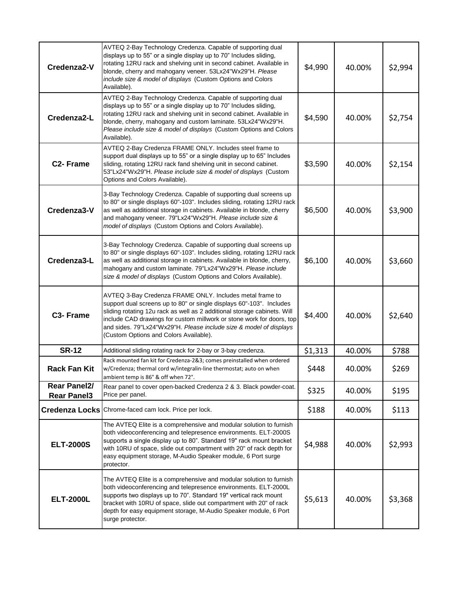| Credenza2-V                        | AVTEQ 2-Bay Technology Credenza. Capable of supporting dual<br>displays up to 55" or a single display up to 70" Includes sliding,<br>rotating 12RU rack and shelving unit in second cabinet. Available in<br>blonde, cherry and mahogany veneer. 53Lx24"Wx29"H. Please<br>include size & model of displays (Custom Options and Colors<br>Available).                                                  | \$4,990 | 40.00% | \$2,994 |
|------------------------------------|-------------------------------------------------------------------------------------------------------------------------------------------------------------------------------------------------------------------------------------------------------------------------------------------------------------------------------------------------------------------------------------------------------|---------|--------|---------|
| Credenza2-L                        | AVTEQ 2-Bay Technology Credenza. Capable of supporting dual<br>displays up to 55" or a single display up to 70" Includes sliding,<br>rotating 12RU rack and shelving unit in second cabinet. Available in<br>blonde, cherry, mahogany and custom laminate. 53Lx24"Wx29"H.<br>Please include size & model of displays (Custom Options and Colors<br>Available).                                        | \$4,590 | 40.00% | \$2,754 |
| C <sub>2</sub> - Frame             | AVTEQ 2-Bay Credenza FRAME ONLY. Includes steel frame to<br>support dual displays up to 55" or a single display up to 65" Includes<br>sliding, rotating 12RU rack fand shelving unit in second cabinet.<br>53"Lx24"Wx29"H. Please include size & model of displays (Custom<br>Options and Colors Available).                                                                                          | \$3,590 | 40.00% | \$2,154 |
| Credenza3-V                        | 3-Bay Technology Credenza. Capable of supporting dual screens up<br>to 80" or single displays 60"-103". Includes sliding, rotating 12RU rack<br>as well as additional storage in cabinets. Available in blonde, cherry<br>and mahogany veneer. 79"Lx24"Wx29"H. Please include size &<br>model of displays (Custom Options and Colors Available).                                                      | \$6,500 | 40.00% | \$3,900 |
| Credenza3-L                        | 3-Bay Technology Credenza. Capable of supporting dual screens up<br>to 80" or single displays 60"-103". Includes sliding, rotating 12RU rack<br>as well as additional storage in cabinets. Available in blonde, cherry,<br>mahogany and custom laminate. 79"Lx24"Wx29"H. Please include<br>size & model of displays (Custom Options and Colors Available).                                            | \$6,100 | 40.00% | \$3,660 |
| C <sub>3</sub> - Frame             | AVTEQ 3-Bay Credenza FRAME ONLY. Includes metal frame to<br>support dual screens up to 80" or single displays 60"-103". Includes<br>sliding rotating 12u rack as well as 2 additional storage cabinets. Will<br>include CAD drawings for custom millwork or stone work for doors, top<br>and sides. 79"Lx24"Wx29"H. Please include size & model of displays<br>(Custom Options and Colors Available). | \$4,400 | 40.00% | \$2,640 |
| <b>SR-12</b>                       | Additional sliding rotating rack for 2-bay or 3-bay credenza.                                                                                                                                                                                                                                                                                                                                         | \$1,313 | 40.00% | \$788   |
| <b>Rack Fan Kit</b>                | Rack mounted fan kit for Credenza-2&3; comes preinstalled when ordered<br>w/Credenza; thermal cord w/integralin-line thermostat; auto on when<br>ambient temp is 86° & off when 72°.                                                                                                                                                                                                                  | \$448   | 40.00% | \$269   |
| Rear Panel2/<br><b>Rear Panel3</b> | Rear panel to cover open-backed Credenza 2 & 3. Black powder-coat.<br>Price per panel.                                                                                                                                                                                                                                                                                                                | \$325   | 40.00% | \$195   |
|                                    | Credenza Locks Chrome-faced cam lock. Price per lock.                                                                                                                                                                                                                                                                                                                                                 | \$188   | 40.00% | \$113   |
| <b>ELT-2000S</b>                   | The AVTEQ Elite is a comprehensive and modular solution to furnish<br>both videoconferencing and telepresence environments. ELT-2000S<br>supports a single display up to 80". Standard 19" rack mount bracket<br>with 10RU of space, slide out compartment with 20" of rack depth for<br>easy equipment storage, M-Audio Speaker module, 6 Port surge<br>protector.                                   | \$4,988 | 40.00% | \$2,993 |
| <b>ELT-2000L</b>                   | The AVTEQ Elite is a comprehensive and modular solution to furnish<br>both videoconferencing and telepresence environments. ELT-2000L<br>supports two displays up to 70". Standard 19" vertical rack mount<br>bracket with 10RU of space, slide out compartment with 20" of rack<br>depth for easy equipment storage, M-Audio Speaker module, 6 Port<br>surge protector.                              | \$5,613 | 40.00% | \$3,368 |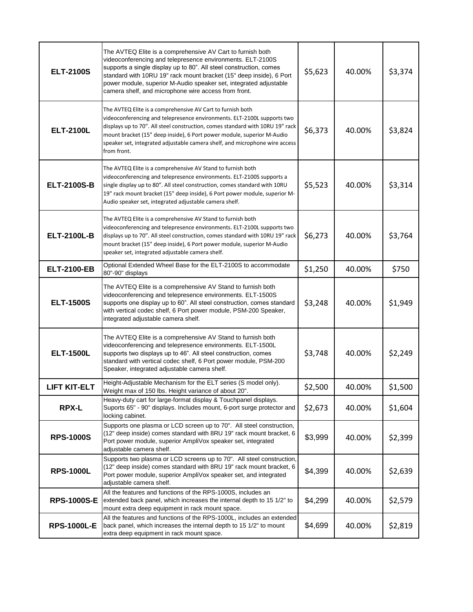| <b>ELT-2100S</b>    | The AVTEQ Elite is a comprehensive AV Cart to furnish both<br>videoconferencing and telepresence environments. ELT-2100S<br>supports a single display up to 80". All steel construction, comes<br>standard with 10RU 19" rack mount bracket (15" deep inside), 6 Port<br>power module, superior M-Audio speaker set, integrated adjustable<br>camera shelf, and microphone wire access from front. | \$5,623 | 40.00% | \$3,374 |
|---------------------|----------------------------------------------------------------------------------------------------------------------------------------------------------------------------------------------------------------------------------------------------------------------------------------------------------------------------------------------------------------------------------------------------|---------|--------|---------|
| <b>ELT-2100L</b>    | The AVTEQ Elite is a comprehensive AV Cart to furnish both<br>videoconferencing and telepresence environments. ELT-2100L supports two<br>displays up to 70". All steel construction, comes standard with 10RU 19" rack<br>mount bracket (15" deep inside), 6 Port power module, superior M-Audio<br>speaker set, integrated adjustable camera shelf, and microphone wire access<br>from front.     | \$6,373 | 40.00% | \$3,824 |
| <b>ELT-2100S-B</b>  | The AVTEQ Elite is a comprehensive AV Stand to furnish both<br>videoconferencing and telepresence environments. ELT-2100S supports a<br>single display up to 80". All steel construction, comes standard with 10RU<br>19" rack mount bracket (15" deep inside), 6 Port power module, superior M-<br>Audio speaker set, integrated adjustable camera shelf.                                         | \$5,523 | 40.00% | \$3,314 |
| <b>ELT-2100L-B</b>  | The AVTEQ Elite is a comprehensive AV Stand to furnish both<br>videoconferencing and telepresence environments. ELT-2100L supports two<br>displays up to 70". All steel construction, comes standard with 10RU 19" rack<br>mount bracket (15" deep inside), 6 Port power module, superior M-Audio<br>speaker set, integrated adjustable camera shelf.                                              | \$6,273 | 40.00% | \$3,764 |
| <b>ELT-2100-EB</b>  | Optional Extended Wheel Base for the ELT-2100S to accommodate<br>80"-90" displays                                                                                                                                                                                                                                                                                                                  | \$1,250 | 40.00% | \$750   |
| <b>ELT-1500S</b>    | The AVTEQ Elite is a comprehensive AV Stand to furnish both<br>videoconferencing and telepresence environments. ELT-1500S<br>supports one display up to 60". All steel construction, comes standard<br>with vertical codec shelf, 6 Port power module, PSM-200 Speaker,<br>integrated adjustable camera shelf.                                                                                     | \$3,248 | 40.00% | \$1,949 |
| <b>ELT-1500L</b>    | The AVTEQ Elite is a comprehensive AV Stand to furnish both<br>videoconferencing and telepresence environments. ELT-1500L<br>supports two displays up to 46". All steel construction, comes<br>standard with vertical codec shelf, 6 Port power module, PSM-200<br>Speaker, integrated adjustable camera shelf.                                                                                    | \$3,748 | 40.00% | \$2,249 |
| <b>LIFT KIT-ELT</b> | Height-Adjustable Mechanism for the ELT series (S model only).<br>Weight max of 150 lbs. Height variance of about 20".                                                                                                                                                                                                                                                                             | \$2,500 | 40.00% | \$1,500 |
| <b>RPX-L</b>        | Heavy-duty cart for large-format display & Touchpanel displays.<br>Suports 65" - 90" displays. Includes mount, 6-port surge protector and<br>locking cabinet.                                                                                                                                                                                                                                      | \$2,673 | 40.00% | \$1,604 |
| <b>RPS-1000S</b>    | Supports one plasma or LCD screen up to 70". All steel construction,<br>(12" deep inside) comes standard with 8RU 19" rack mount bracket, 6<br>Port power module, superior AmpliVox speaker set, integrated<br>adjustable camera shelf.                                                                                                                                                            | \$3,999 | 40.00% | \$2,399 |
| <b>RPS-1000L</b>    | Supports two plasma or LCD screens up to 70". All steel construction,<br>(12" deep inside) comes standard with 8RU 19" rack mount bracket, 6<br>Port power module, superior AmpliVox speaker set, and integrated<br>adjustable camera shelf.                                                                                                                                                       | \$4,399 | 40.00% | \$2,639 |
| <b>RPS-1000S-E</b>  | All the features and functions of the RPS-1000S, includes an<br>extended back panel, which increases the internal depth to 15 1/2" to<br>mount extra deep equipment in rack mount space.                                                                                                                                                                                                           | \$4,299 | 40.00% | \$2,579 |
| <b>RPS-1000L-E</b>  | All the features and functions of the RPS-1000L, includes an extended<br>back panel, which increases the internal depth to 15 1/2" to mount<br>extra deep equipment in rack mount space.                                                                                                                                                                                                           | \$4,699 | 40.00% | \$2,819 |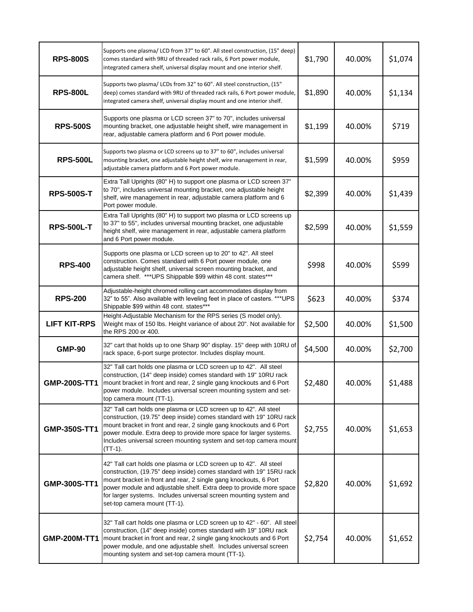| <b>RPS-800S</b>     | Supports one plasma/ LCD from 37" to 60". All steel construction, (15" deep)<br>comes standard with 9RU of threaded rack rails, 6 Port power module,<br>integrated camera shelf, universal display mount and one interior shelf.                                                                                                                                                          | \$1,790 | 40.00% | \$1,074 |
|---------------------|-------------------------------------------------------------------------------------------------------------------------------------------------------------------------------------------------------------------------------------------------------------------------------------------------------------------------------------------------------------------------------------------|---------|--------|---------|
| <b>RPS-800L</b>     | Supports two plasma/ LCDs from 32" to 60". All steel construction, (15"<br>deep) comes standard with 9RU of threaded rack rails, 6 Port power module,<br>integrated camera shelf, universal display mount and one interior shelf.                                                                                                                                                         | \$1,890 | 40.00% | \$1,134 |
| <b>RPS-500S</b>     | Supports one plasma or LCD screen 37" to 70", includes universal<br>mounting bracket, one adjustable height shelf, wire management in<br>rear, adjustable camera platform and 6 Port power module.                                                                                                                                                                                        | \$1,199 | 40.00% | \$719   |
| <b>RPS-500L</b>     | Supports two plasma or LCD screens up to 37" to 60", includes universal<br>mounting bracket, one adjustable height shelf, wire management in rear,<br>adjustable camera platform and 6 Port power module.                                                                                                                                                                                 | \$1,599 | 40.00% | \$959   |
| <b>RPS-500S-T</b>   | Extra Tall Uprights (80" H) to support one plasma or LCD screen 37"<br>to 70", includes universal mounting bracket, one adjustable height<br>shelf, wire management in rear, adjustable camera platform and 6<br>Port power module.                                                                                                                                                       | \$2,399 | 40.00% | \$1,439 |
| <b>RPS-500L-T</b>   | Extra Tall Uprights (80" H) to support two plasma or LCD screens up<br>to 37" to 55", includes universal mounting bracket, one adjustable<br>height shelf, wire management in rear, adjustable camera platform<br>and 6 Port power module.                                                                                                                                                | \$2,599 | 40.00% | \$1,559 |
| <b>RPS-400</b>      | Supports one plasma or LCD screen up to 20" to 42". All steel<br>construction. Comes standard with 6 Port power module, one<br>adjustable height shelf, universal screen mounting bracket, and<br>camera shelf. ***UPS Shippable \$99 within 48 cont. states***                                                                                                                           | \$998   | 40.00% | \$599   |
| <b>RPS-200</b>      | Adjustable-height chromed rolling cart accommodates display from<br>32" to 55". Also available with leveling feet in place of casters. *** UPS<br>Shippable \$99 within 48 cont. states***                                                                                                                                                                                                | \$623   | 40.00% | \$374   |
| <b>LIFT KIT-RPS</b> | Height-Adjustable Mechanism for the RPS series (S model only).<br>Weight max of 150 lbs. Height variance of about 20". Not available for<br>the RPS 200 or 400.                                                                                                                                                                                                                           | \$2,500 | 40.00% | \$1,500 |
| <b>GMP-90</b>       | 32" cart that holds up to one Sharp 90" display. 15" deep with 10RU of<br>rack space, 6-port surge protector. Includes display mount.                                                                                                                                                                                                                                                     | \$4,500 | 40.00% | \$2,700 |
| GMP-200S-TT1        | 32" Tall cart holds one plasma or LCD screen up to 42". All steel<br>construction, (14" deep inside) comes standard with 19" 10RU rack<br>mount bracket in front and rear, 2 single gang knockouts and 6 Port<br>power module. Includes universal screen mounting system and set-<br>top camera mount (TT-1).                                                                             | \$2,480 | 40.00% | \$1,488 |
| GMP-350S-TT1        | 32" Tall cart holds one plasma or LCD screen up to 42". All steel<br>construction, (19.75" deep inside) comes standard with 19" 10RU rack<br>mount bracket in front and rear, 2 single gang knockouts and 6 Port<br>power module. Extra deep to provide more space for larger systems.<br>Includes universal screen mounting system and set-top camera mount<br>$(TT-1)$ .                | \$2,755 | 40.00% | \$1,653 |
| GMP-300S-TT1        | 42" Tall cart holds one plasma or LCD screen up to 42". All steel<br>construction, (19.75" deep inside) comes standard with 19" 15RU rack<br>mount bracket in front and rear, 2 single gang knockouts, 6 Port<br>power module and adjustable shelf. Extra deep to provide more space<br>for larger systems. Includes universal screen mounting system and<br>set-top camera mount (TT-1). | \$2,820 | 40.00% | \$1,692 |
| GMP-200M-TT1        | 32" Tall cart holds one plasma or LCD screen up to 42" - 60". All steel<br>construction, (14" deep inside) comes standard with 19" 10RU rack<br>mount bracket in front and rear, 2 single gang knockouts and 6 Port<br>power module, and one adjustable shelf. Includes universal screen<br>mounting system and set-top camera mount (TT-1).                                              | \$2,754 | 40.00% | \$1,652 |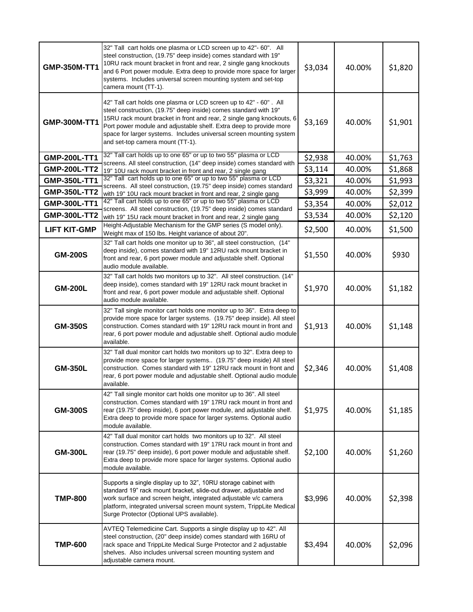| GMP-350M-TT1        | 32" Tall cart holds one plasma or LCD screen up to 42"- 60". All<br>steel construction, (19.75" deep inside) comes standard with 19"<br>10RU rack mount bracket in front and rear, 2 single gang knockouts<br>and 6 Port power module. Extra deep to provide more space for larger<br>systems. Includes universal screen mounting system and set-top<br>camera mount (TT-1).                    | \$3,034 | 40.00% | \$1,820 |
|---------------------|-------------------------------------------------------------------------------------------------------------------------------------------------------------------------------------------------------------------------------------------------------------------------------------------------------------------------------------------------------------------------------------------------|---------|--------|---------|
| GMP-300M-TT1        | 42" Tall cart holds one plasma or LCD screen up to 42" - 60". All<br>steel construction, (19.75" deep inside) comes standard with 19"<br>15RU rack mount bracket in front and rear, 2 single gang knockouts, 6<br>Port power module and adjustable shelf. Extra deep to provide more<br>space for larger systems. Includes universal screen mounting system<br>and set-top camera mount (TT-1). | \$3,169 | 40.00% | \$1,901 |
| <b>GMP-200L-TT1</b> | 32" Tall cart holds up to one 65" or up to two 55" plasma or LCD                                                                                                                                                                                                                                                                                                                                | \$2,938 | 40.00% | \$1,763 |
| <b>GMP-200L-TT2</b> | screens. All steel construction, (14" deep inside) comes standard with<br>19" 10U rack mount bracket in front and rear, 2 single gang                                                                                                                                                                                                                                                           | \$3,114 | 40.00% | \$1,868 |
| GMP-350L-TT1        | 32" Tall cart holds up to one 65" or up to two 55" plasma or LCD<br>screens. All steel construction, (19.75" deep inside) comes standard                                                                                                                                                                                                                                                        | \$3,321 | 40.00% | \$1,993 |
| <b>GMP-350L-TT2</b> | with 19" 10U rack mount bracket in front and rear, 2 single gang                                                                                                                                                                                                                                                                                                                                | \$3,999 | 40.00% | \$2,399 |
| GMP-300L-TT1        | 42" Tall cart holds up to one 65" or up to two 55" plasma or LCD<br>screens. All steel construction, (19.75" deep inside) comes standard                                                                                                                                                                                                                                                        | \$3,354 | 40.00% | \$2,012 |
| <b>GMP-300L-TT2</b> | with 19" 15U rack mount bracket in front and rear, 2 single gang                                                                                                                                                                                                                                                                                                                                | \$3,534 | 40.00% | \$2,120 |
| <b>LIFT KIT-GMP</b> | Height-Adjustable Mechanism for the GMP series (S model only).<br>Weight max of 150 lbs. Height variance of about 20".                                                                                                                                                                                                                                                                          | \$2,500 | 40.00% | \$1,500 |
| <b>GM-200S</b>      | 32" Tall cart holds one monitor up to 36", all steel construction, (14"<br>deep inside), comes standard with 19" 12RU rack mount bracket in<br>front and rear, 6 port power module and adjustable shelf. Optional<br>audio module available.                                                                                                                                                    | \$1,550 | 40.00% | \$930   |
| <b>GM-200L</b>      | 32" Tall cart holds two monitors up to 32". All steel construction. (14"<br>deep inside), comes standard with 19" 12RU rack mount bracket in<br>front and rear, 6 port power module and adjustable shelf. Optional<br>audio module available.                                                                                                                                                   | \$1,970 | 40.00% | \$1,182 |
| <b>GM-350S</b>      | 32" Tall single monitor cart holds one monitor up to 36". Extra deep to<br>provide more space for larger systems. (19.75" deep inside). All steel<br>construction. Comes standard with 19" 12RU rack mount in front and<br>rear, 6 port power module and adjustable shelf. Optional audio module<br>available.                                                                                  | \$1,913 | 40.00% | \$1,148 |
| <b>GM-350L</b>      | 32" Tall dual monitor cart holds two monitors up to 32". Extra deep to<br>provide more space for larger systems (19.75" deep inside) All steel<br>construction. Comes standard with 19" 12RU rack mount in front and<br>rear, 6 port power module and adjustable shelf. Optional audio module<br>available.                                                                                     | \$2,346 | 40.00% | \$1,408 |
| <b>GM-300S</b>      | 42" Tall single monitor cart holds one monitor up to 36". All steel<br>construction. Comes standard with 19" 17RU rack mount in front and<br>rear (19.75" deep inside), 6 port power module, and adjustable shelf.<br>Extra deep to provide more space for larger systems. Optional audio<br>module available.                                                                                  | \$1,975 | 40.00% | \$1,185 |
| <b>GM-300L</b>      | 42" Tall dual monitor cart holds two monitors up to 32". All steel<br>construction. Comes standard with 19" 17RU rack mount in front and<br>rear (19.75" deep inside), 6 port power module and adjustable shelf.<br>Extra deep to provide more space for larger systems. Optional audio<br>module available.                                                                                    | \$2,100 | 40.00% | \$1,260 |
| <b>TMP-800</b>      | Supports a single display up to 32", 10RU storage cabinet with<br>standard 19" rack mount bracket, slide-out drawer, adjustable and<br>work surface and screen height, integrated adjustable v/c camera<br>platform, integrated universal screen mount system, TrippLite Medical<br>Surge Protector (Optional UPS available).                                                                   | \$3,996 | 40.00% | \$2,398 |
| <b>TMP-600</b>      | AVTEQ Telemedicine Cart. Supports a single display up to 42". All<br>steel construction, (20" deep inside) comes standard with 16RU of<br>rack space and TrippLite Medical Surge Protector and 2 adjustable<br>shelves. Also includes universal screen mounting system and<br>adjustable camera mount.                                                                                          | \$3,494 | 40.00% | \$2,096 |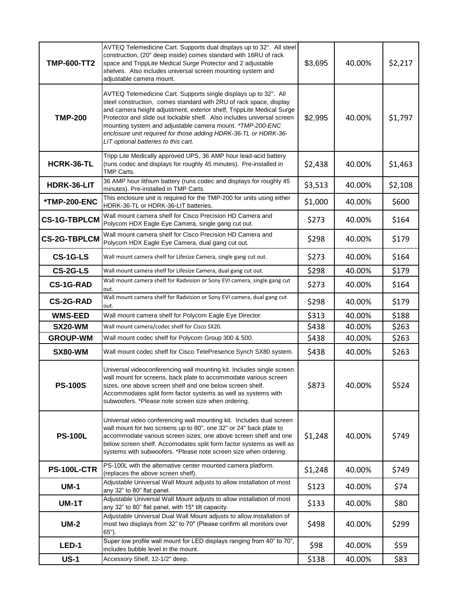| <b>TMP-600-TT2</b>  | AVTEQ Telemedicine Cart. Supports dual displays up to 32". All steel<br>construction, (20" deep inside) comes standard with 16RU of rack<br>space and TrippLite Medical Surge Protector and 2 adjustable<br>shelves. Also includes universal screen mounting system and<br>adjustable camera mount.                                                                                                                                                               | \$3,695 | 40.00% | \$2,217 |
|---------------------|-------------------------------------------------------------------------------------------------------------------------------------------------------------------------------------------------------------------------------------------------------------------------------------------------------------------------------------------------------------------------------------------------------------------------------------------------------------------|---------|--------|---------|
| <b>TMP-200</b>      | AVTEQ Telemedicine Cart. Supports single displays up to 32". All<br>steel construction, comes standard with 2RU of rack space, display<br>and camera height adjustment, exterior shelf, TrippLite Medical Surge<br>Protector and slide out lockable shelf. Also includes universal screen<br>mounting system and adjustable camera mount. *TMP-200-ENC<br>enclosure unit required for those adding HDRK-36-TL or HDRK-36-<br>LIT optional batteries to this cart. | \$2,995 | 40.00% | \$1,797 |
| HCRK-36-TL          | Tripp Lite Medically approved UPS, 36 AMP hour lead-acid battery<br>(runs codec and displays for roughly 45 minutes). Pre-installed in<br>TMP Carts.                                                                                                                                                                                                                                                                                                              | \$2,438 | 40.00% | \$1,463 |
| HDRK-36-LIT         | 36 AMP hour lithium battery (runs codec and displays for roughly 45<br>minutes). Pre-installed in TMP Carts.                                                                                                                                                                                                                                                                                                                                                      | \$3,513 | 40.00% | \$2,108 |
| <b>*TMP-200-ENC</b> | This enclosure unit is required for the TMP-200 for units using either<br>HDRK-36-TL or HDRK-36-LIT batteries.                                                                                                                                                                                                                                                                                                                                                    | \$1,000 | 40.00% | \$600   |
| <b>CS-1G-TBPLCM</b> | Wall mount camera shelf for Cisco Precision HD Camera and<br>Polycom HDX Eagle Eye Camera, single gang cut out.                                                                                                                                                                                                                                                                                                                                                   | \$273   | 40.00% | \$164   |
| <b>CS-2G-TBPLCM</b> | Wall mount camera shelf for Cisco Precision HD Camera and<br>Polycom HDX Eagle Eye Camera, dual gang cut out.                                                                                                                                                                                                                                                                                                                                                     | \$298   | 40.00% | \$179   |
| CS-1G-LS            | Wall mount camera shelf for Lifesize Camera, single gang cut out.                                                                                                                                                                                                                                                                                                                                                                                                 | \$273   | 40.00% | \$164   |
| CS-2G-LS            | Wall mount camera shelf for Lifesize Camera, dual gang cut out.                                                                                                                                                                                                                                                                                                                                                                                                   | \$298   | 40.00% | \$179   |
| <b>CS-1G-RAD</b>    | Wall mount camera shelf for Radvision or Sony EVI camera, single gang cut<br>out.                                                                                                                                                                                                                                                                                                                                                                                 | \$273   | 40.00% | \$164   |
| <b>CS-2G-RAD</b>    | Wall mount camera shelf for Radvision or Sony EVI camera, dual gang cut<br>out.                                                                                                                                                                                                                                                                                                                                                                                   | \$298   | 40.00% | \$179   |
| <b>WMS-EED</b>      | Wall mount camera shelf for Polycom Eagle Eye Director.                                                                                                                                                                                                                                                                                                                                                                                                           | \$313   | 40.00% | \$188   |
| <b>SX20-WM</b>      | Wall mount camera/codec shelf for Cisco SX20.                                                                                                                                                                                                                                                                                                                                                                                                                     | \$438   | 40.00% | \$263   |
| <b>GROUP-WM</b>     | Wall mount codec shelf for Polycom Group 300 & 500.                                                                                                                                                                                                                                                                                                                                                                                                               | \$438   | 40.00% | \$263   |
| SX80-WM             | Wall mount codec shelf for Cisco TelePresence Synch SX80 system.                                                                                                                                                                                                                                                                                                                                                                                                  | \$438   | 40.00% | \$263   |
| <b>PS-100S</b>      | Universal videoconferencing wall mounting kit. Includes single screen<br>wall mount for screens, back plate to accommodate various screen<br>sizes, one above screen shelf and one below screen shelf.<br>Accommodates split form factor systems as well as systems with<br>subwoofers. *Please note screen size when ordering.                                                                                                                                   | \$873   | 40.00% | \$524   |
| <b>PS-100L</b>      | Universal video conferencing wall mounting kit. Includes dual screen<br>wall mount for two screens up to 80", one 32" or 24" back plate to<br>accommodate various screen sizes, one above screen shelf and one<br>below screen shelf. Accomodates split form factor systems as well as<br>systems with subwoofers. *Please note screen size when ordering.                                                                                                        | \$1,248 | 40.00% | \$749   |
| <b>PS-100L-CTR</b>  | PS-100L with the alternative center mounted camera platform.<br>(replaces the above screen shelf).                                                                                                                                                                                                                                                                                                                                                                | \$1,248 | 40.00% | \$749   |
| $UM-1$              | Adjustable Universal Wall Mount adjusts to allow installation of most<br>any 32" to 80" flat panel.                                                                                                                                                                                                                                                                                                                                                               | \$123   | 40.00% | \$74    |
| <b>UM-1T</b>        | Adjustable Universal Wall Mount adjusts to allow installation of most<br>any 32" to 80" flat panel, with 15* tilt capacity.                                                                                                                                                                                                                                                                                                                                       | \$133   | 40.00% | \$80    |
| <b>UM-2</b>         | Adjustable Universal Dual Wall Mount adjusts to allow installation of<br>most two displays from 32" to 70" (Please confirm all monitors over<br>65").                                                                                                                                                                                                                                                                                                             | \$498   | 40.00% | \$299   |
| LED-1               | Super low profile wall mount for LED displays ranging from 40" to 70",<br>includes bubble level in the mount.                                                                                                                                                                                                                                                                                                                                                     | \$98    | 40.00% | \$59    |
| <b>US-1</b>         | Accessory Shelf, 12-1/2" deep.                                                                                                                                                                                                                                                                                                                                                                                                                                    | \$138   | 40.00% | \$83    |